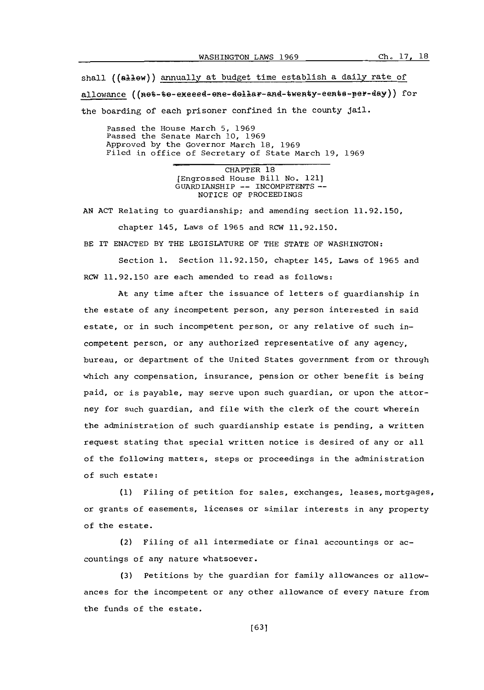shall ((allew)) annually at budget time establish a daily rate of allowance ((net-te-exeeed-ene-dellar-and-twenty-eents-per-day)) for the boarding of each prisoner confined in the county jail.

Passed the House March **5, 1969** Passed the Senate March **10, 1969** Approved **by** the Governor March **18, 1969** Filed in office of Secretary of State March **19, 1969**

> CHAPTER **18** [Engrossed House Bill No. 121] GUARDIANSHIP **--** INCOMPETENTS~- NOTICE OF PROCEEDINGS

**AN ACT** Relating to guardianship; and amending section **11.92.150,**

chapter 145, Laws of **1965** and RCW **11.92.150.** BE IT **ENACTED** BY THE LEGISLATURE OF THE **STATE** OF WASHINGTON:

Section **1.** Section **11.92.150,** chapter 145, Laws of **1965** and RCW **11.92.150** are each amended to read as follows:

At any time after the issuance of letters of guardianship in the estate of any incompetent person, any person interested in said estate, or in such incompetent person, or any relative of such incompetent person, or any authorized representative of any agency, bureau, or department of the United States government from or through which any compensation, insurance, pension or other benefit is being paid, or is payable, may serve upon such guardian, or upon the attorney for such guardian, and file with the clerk of the court wherein the administration of such guardianship estate is pending, a written request stating that special written notice is desired of any or all of the following matters, steps or proceedings in the administration of such estate:

**(1)** Filing of petition for sales, exchanges, leases, mortgages, or grants of easements, licenses or similar interests in any property of the estate.

(2) Filing of all intermediate or final accountings or accountings of any nature whatsoever.

**(3)** Petitions **by** the guardian for family allowances or allowances for the incompetent or any other allowance of every nature from the funds of the estate.